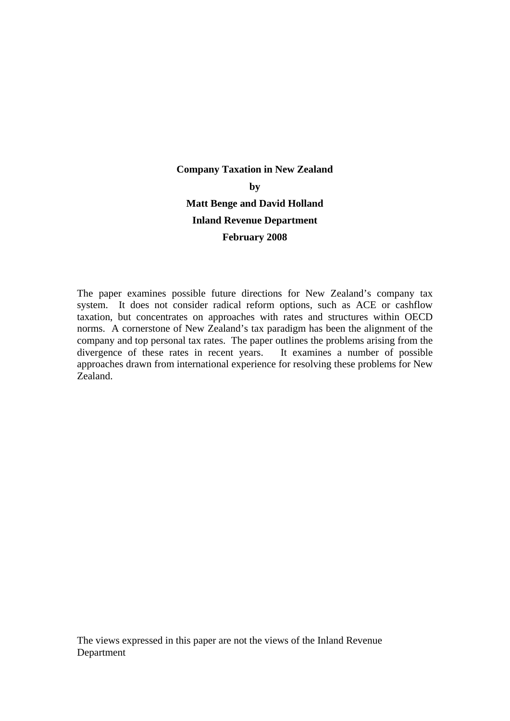# **Company Taxation in New Zealand by Matt Benge and David Holland Inland Revenue Department February 2008**

The paper examines possible future directions for New Zealand's company tax system. It does not consider radical reform options, such as ACE or cashflow taxation, but concentrates on approaches with rates and structures within OECD norms. A cornerstone of New Zealand's tax paradigm has been the alignment of the company and top personal tax rates. The paper outlines the problems arising from the divergence of these rates in recent years. It examines a number of possible approaches drawn from international experience for resolving these problems for New Zealand.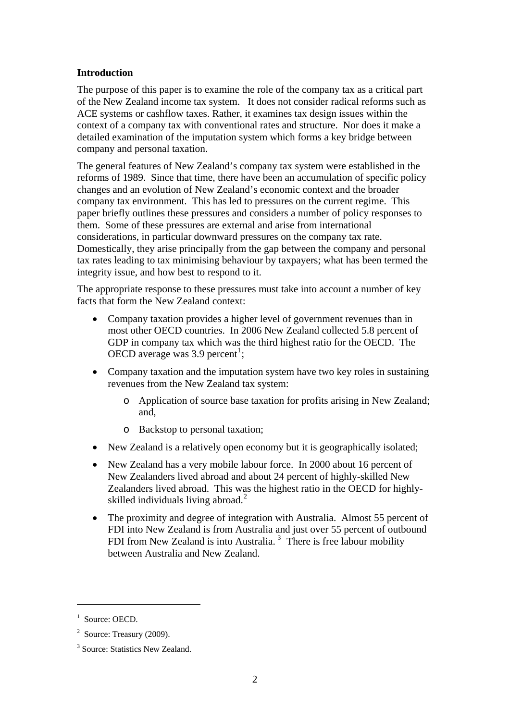#### **Introduction**

The purpose of this paper is to examine the role of the company tax as a critical part of the New Zealand income tax system. It does not consider radical reforms such as ACE systems or cashflow taxes. Rather, it examines tax design issues within the context of a company tax with conventional rates and structure. Nor does it make a detailed examination of the imputation system which forms a key bridge between company and personal taxation.

The general features of New Zealand's company tax system were established in the reforms of 1989. Since that time, there have been an accumulation of specific policy changes and an evolution of New Zealand's economic context and the broader company tax environment. This has led to pressures on the current regime. This paper briefly outlines these pressures and considers a number of policy responses to them. Some of these pressures are external and arise from international considerations, in particular downward pressures on the company tax rate. Domestically, they arise principally from the gap between the company and personal tax rates leading to tax minimising behaviour by taxpayers; what has been termed the integrity issue, and how best to respond to it.

The appropriate response to these pressures must take into account a number of key facts that form the New Zealand context:

- Company taxation provides a higher level of government revenues than in most other OECD countries. In 2006 New Zealand collected 5.8 percent of GDP in company tax which was the third highest ratio for the OECD. The OECD average was  $3.9$  percent<sup>[1](#page-1-0)</sup>;
- Company taxation and the imputation system have two key roles in sustaining revenues from the New Zealand tax system:
	- o Application of source base taxation for profits arising in New Zealand; and,
	- o Backstop to personal taxation;
- New Zealand is a relatively open economy but it is geographically isolated;
- New Zealand has a very mobile labour force. In 2000 about 16 percent of New Zealanders lived abroad and about 24 percent of highly-skilled New Zealanders lived abroad. This was the highest ratio in the OECD for highlyskilled individuals living abroad. $2$
- The proximity and degree of integration with Australia. Almost 55 percent of FDI into New Zealand is from Australia and just over 55 percent of outbound FDI from New Zealand is into Australia.<sup>[3](#page-1-2)</sup> There is free labour mobility between Australia and New Zealand.

<span id="page-1-0"></span><sup>&</sup>lt;sup>1</sup> Source: OECD.

<span id="page-1-1"></span> $2$  Source: Treasury (2009).

<span id="page-1-2"></span><sup>&</sup>lt;sup>3</sup> Source: Statistics New Zealand.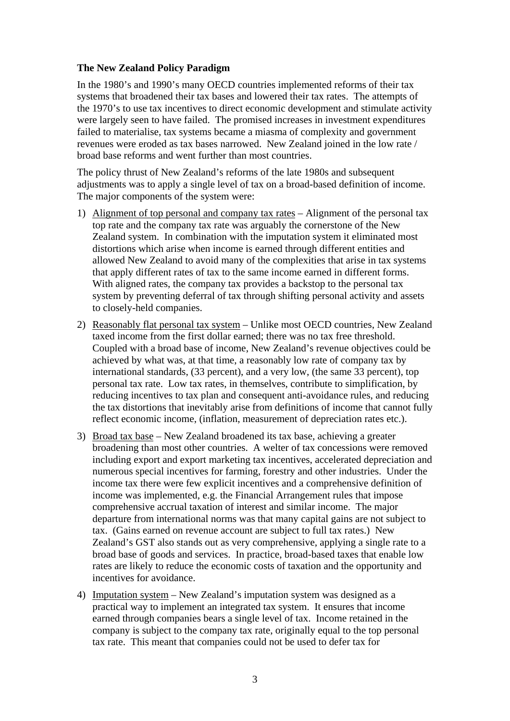#### **The New Zealand Policy Paradigm**

In the 1980's and 1990's many OECD countries implemented reforms of their tax systems that broadened their tax bases and lowered their tax rates. The attempts of the 1970's to use tax incentives to direct economic development and stimulate activity were largely seen to have failed. The promised increases in investment expenditures failed to materialise, tax systems became a miasma of complexity and government revenues were eroded as tax bases narrowed. New Zealand joined in the low rate / broad base reforms and went further than most countries.

The policy thrust of New Zealand's reforms of the late 1980s and subsequent adjustments was to apply a single level of tax on a broad-based definition of income. The major components of the system were:

- 1) Alignment of top personal and company tax rates Alignment of the personal tax top rate and the company tax rate was arguably the cornerstone of the New Zealand system. In combination with the imputation system it eliminated most distortions which arise when income is earned through different entities and allowed New Zealand to avoid many of the complexities that arise in tax systems that apply different rates of tax to the same income earned in different forms. With aligned rates, the company tax provides a backstop to the personal tax system by preventing deferral of tax through shifting personal activity and assets to closely-held companies.
- 2) Reasonably flat personal tax system Unlike most OECD countries, New Zealand taxed income from the first dollar earned; there was no tax free threshold. Coupled with a broad base of income, New Zealand's revenue objectives could be achieved by what was, at that time, a reasonably low rate of company tax by international standards, (33 percent), and a very low, (the same 33 percent), top personal tax rate. Low tax rates, in themselves, contribute to simplification, by reducing incentives to tax plan and consequent anti-avoidance rules, and reducing the tax distortions that inevitably arise from definitions of income that cannot fully reflect economic income, (inflation, measurement of depreciation rates etc.).
- 3) Broad tax base New Zealand broadened its tax base, achieving a greater broadening than most other countries. A welter of tax concessions were removed including export and export marketing tax incentives, accelerated depreciation and numerous special incentives for farming, forestry and other industries. Under the income tax there were few explicit incentives and a comprehensive definition of income was implemented, e.g. the Financial Arrangement rules that impose comprehensive accrual taxation of interest and similar income. The major departure from international norms was that many capital gains are not subject to tax. (Gains earned on revenue account are subject to full tax rates.) New Zealand's GST also stands out as very comprehensive, applying a single rate to a broad base of goods and services. In practice, broad-based taxes that enable low rates are likely to reduce the economic costs of taxation and the opportunity and incentives for avoidance.
- 4) Imputation system New Zealand's imputation system was designed as a practical way to implement an integrated tax system. It ensures that income earned through companies bears a single level of tax. Income retained in the company is subject to the company tax rate, originally equal to the top personal tax rate. This meant that companies could not be used to defer tax for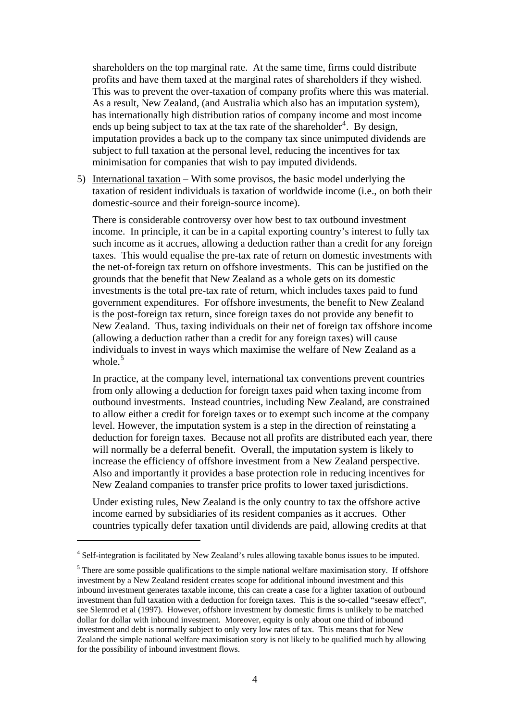shareholders on the top marginal rate. At the same time, firms could distribute profits and have them taxed at the marginal rates of shareholders if they wished. This was to prevent the over-taxation of company profits where this was material. As a result, New Zealand, (and Australia which also has an imputation system), has internationally high distribution ratios of company income and most income ends up being subject to tax at the tax rate of the shareholder<sup>4</sup>. By design, imputation provides a back up to the company tax since unimputed dividends are subject to full taxation at the personal level, reducing the incentives for tax minimisation for companies that wish to pay imputed dividends.

5) International taxation – With some provisos, the basic model underlying the taxation of resident individuals is taxation of worldwide income (i.e., on both their domestic-source and their foreign-source income).

There is considerable controversy over how best to tax outbound investment income. In principle, it can be in a capital exporting country's interest to fully tax such income as it accrues, allowing a deduction rather than a credit for any foreign taxes. This would equalise the pre-tax rate of return on domestic investments with the net-of-foreign tax return on offshore investments. This can be justified on the grounds that the benefit that New Zealand as a whole gets on its domestic investments is the total pre-tax rate of return, which includes taxes paid to fund government expenditures. For offshore investments, the benefit to New Zealand is the post-foreign tax return, since foreign taxes do not provide any benefit to New Zealand. Thus, taxing individuals on their net of foreign tax offshore income (allowing a deduction rather than a credit for any foreign taxes) will cause individuals to invest in ways which maximise the welfare of New Zealand as a whole. $5$ 

In practice, at the company level, international tax conventions prevent countries from only allowing a deduction for foreign taxes paid when taxing income from outbound investments. Instead countries, including New Zealand, are constrained to allow either a credit for foreign taxes or to exempt such income at the company level. However, the imputation system is a step in the direction of reinstating a deduction for foreign taxes. Because not all profits are distributed each year, there will normally be a deferral benefit. Overall, the imputation system is likely to increase the efficiency of offshore investment from a New Zealand perspective. Also and importantly it provides a base protection role in reducing incentives for New Zealand companies to transfer price profits to lower taxed jurisdictions.

Under existing rules, New Zealand is the only country to tax the offshore active income earned by subsidiaries of its resident companies as it accrues. Other countries typically defer taxation until dividends are paid, allowing credits at that

<sup>&</sup>lt;sup>4</sup> Self-integration is facilitated by New Zealand's rules allowing taxable bonus issues to be imputed.

<span id="page-3-0"></span><sup>&</sup>lt;sup>5</sup> There are some possible qualifications to the simple national welfare maximisation story. If offshore investment by a New Zealand resident creates scope for additional inbound investment and this inbound investment generates taxable income, this can create a case for a lighter taxation of outbound investment than full taxation with a deduction for foreign taxes. This is the so-called "seesaw effect", see Slemrod et al (1997). However, offshore investment by domestic firms is unlikely to be matched dollar for dollar with inbound investment. Moreover, equity is only about one third of inbound investment and debt is normally subject to only very low rates of tax. This means that for New Zealand the simple national welfare maximisation story is not likely to be qualified much by allowing for the possibility of inbound investment flows.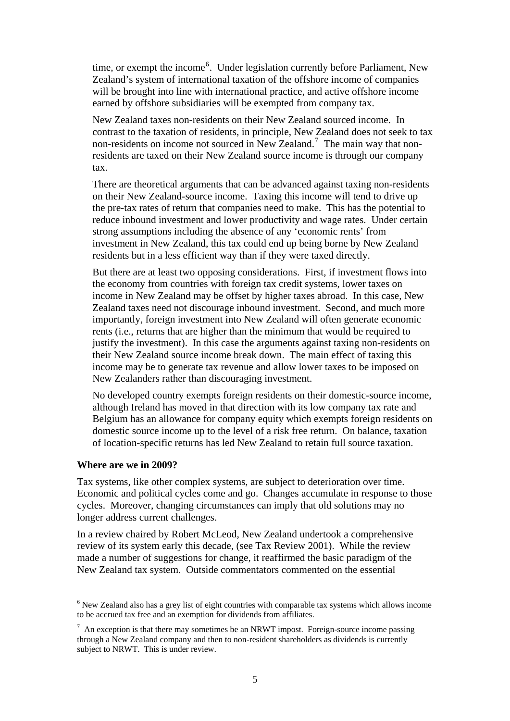time, or exempt the income<sup>[6](#page-4-0)</sup>. Under legislation currently before Parliament, New Zealand's system of international taxation of the offshore income of companies will be brought into line with international practice, and active offshore income earned by offshore subsidiaries will be exempted from company tax.

New Zealand taxes non-residents on their New Zealand sourced income. In contrast to the taxation of residents, in principle, New Zealand does not seek to tax non-residents on income not sourced in New Zealand.<sup>[7](#page-4-1)</sup> The main way that nonresidents are taxed on their New Zealand source income is through our company tax.

There are theoretical arguments that can be advanced against taxing non-residents on their New Zealand-source income. Taxing this income will tend to drive up the pre-tax rates of return that companies need to make. This has the potential to reduce inbound investment and lower productivity and wage rates. Under certain strong assumptions including the absence of any 'economic rents' from investment in New Zealand, this tax could end up being borne by New Zealand residents but in a less efficient way than if they were taxed directly.

But there are at least two opposing considerations. First, if investment flows into the economy from countries with foreign tax credit systems, lower taxes on income in New Zealand may be offset by higher taxes abroad. In this case, New Zealand taxes need not discourage inbound investment. Second, and much more importantly, foreign investment into New Zealand will often generate economic rents (i.e., returns that are higher than the minimum that would be required to justify the investment). In this case the arguments against taxing non-residents on their New Zealand source income break down. The main effect of taxing this income may be to generate tax revenue and allow lower taxes to be imposed on New Zealanders rather than discouraging investment.

No developed country exempts foreign residents on their domestic-source income, although Ireland has moved in that direction with its low company tax rate and Belgium has an allowance for company equity which exempts foreign residents on domestic source income up to the level of a risk free return. On balance, taxation of location-specific returns has led New Zealand to retain full source taxation.

#### **Where are we in 2009?**

<u>.</u>

Tax systems, like other complex systems, are subject to deterioration over time. Economic and political cycles come and go. Changes accumulate in response to those cycles. Moreover, changing circumstances can imply that old solutions may no longer address current challenges.

In a review chaired by Robert McLeod, New Zealand undertook a comprehensive review of its system early this decade, (see Tax Review 2001). While the review made a number of suggestions for change, it reaffirmed the basic paradigm of the New Zealand tax system. Outside commentators commented on the essential

<span id="page-4-0"></span><sup>&</sup>lt;sup>6</sup> New Zealand also has a grey list of eight countries with comparable tax systems which allows income to be accrued tax free and an exemption for dividends from affiliates.

<span id="page-4-1"></span> $7$  An exception is that there may sometimes be an NRWT impost. Foreign-source income passing through a New Zealand company and then to non-resident shareholders as dividends is currently subject to NRWT. This is under review.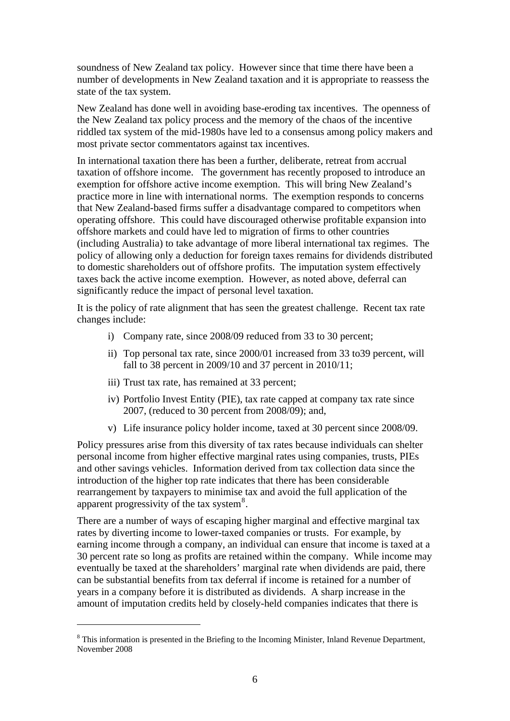soundness of New Zealand tax policy. However since that time there have been a number of developments in New Zealand taxation and it is appropriate to reassess the state of the tax system.

New Zealand has done well in avoiding base-eroding tax incentives. The openness of the New Zealand tax policy process and the memory of the chaos of the incentive riddled tax system of the mid-1980s have led to a consensus among policy makers and most private sector commentators against tax incentives.

In international taxation there has been a further, deliberate, retreat from accrual taxation of offshore income. The government has recently proposed to introduce an exemption for offshore active income exemption. This will bring New Zealand's practice more in line with international norms. The exemption responds to concerns that New Zealand-based firms suffer a disadvantage compared to competitors when operating offshore. This could have discouraged otherwise profitable expansion into offshore markets and could have led to migration of firms to other countries (including Australia) to take advantage of more liberal international tax regimes. The policy of allowing only a deduction for foreign taxes remains for dividends distributed to domestic shareholders out of offshore profits. The imputation system effectively taxes back the active income exemption. However, as noted above, deferral can significantly reduce the impact of personal level taxation.

It is the policy of rate alignment that has seen the greatest challenge. Recent tax rate changes include:

- i) Company rate, since 2008/09 reduced from 33 to 30 percent;
- ii) Top personal tax rate, since 2000/01 increased from 33 to39 percent, will fall to 38 percent in 2009/10 and 37 percent in 2010/11;
- iii) Trust tax rate, has remained at 33 percent;

<u>.</u>

- iv) Portfolio Invest Entity (PIE), tax rate capped at company tax rate since 2007, (reduced to 30 percent from 2008/09); and,
- v) Life insurance policy holder income, taxed at 30 percent since 2008/09.

Policy pressures arise from this diversity of tax rates because individuals can shelter personal income from higher effective marginal rates using companies, trusts, PIEs and other savings vehicles. Information derived from tax collection data since the introduction of the higher top rate indicates that there has been considerable rearrangement by taxpayers to minimise tax and avoid the full application of the apparent progressivity of the tax system<sup>[8](#page-5-0)</sup>.

There are a number of ways of escaping higher marginal and effective marginal tax rates by diverting income to lower-taxed companies or trusts. For example, by earning income through a company, an individual can ensure that income is taxed at a 30 percent rate so long as profits are retained within the company. While income may eventually be taxed at the shareholders' marginal rate when dividends are paid, there can be substantial benefits from tax deferral if income is retained for a number of years in a company before it is distributed as dividends. A sharp increase in the amount of imputation credits held by closely-held companies indicates that there is

<span id="page-5-0"></span><sup>&</sup>lt;sup>8</sup> This information is presented in the Briefing to the Incoming Minister, Inland Revenue Department, November 2008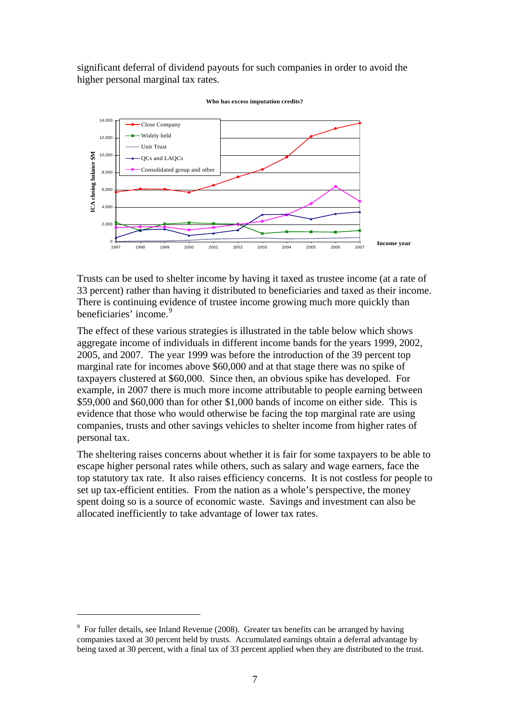significant deferral of dividend payouts for such companies in order to avoid the higher personal marginal tax rates.



Trusts can be used to shelter income by having it taxed as trustee income (at a rate of 33 percent) rather than having it distributed to beneficiaries and taxed as their income. There is continuing evidence of trustee income growing much more quickly than beneficiaries' income.<sup>[9](#page-6-0)</sup>

The effect of these various strategies is illustrated in the table below which shows aggregate income of individuals in different income bands for the years 1999, 2002, 2005, and 2007. The year 1999 was before the introduction of the 39 percent top marginal rate for incomes above \$60,000 and at that stage there was no spike of taxpayers clustered at \$60,000. Since then, an obvious spike has developed. For example, in 2007 there is much more income attributable to people earning between \$59,000 and \$60,000 than for other \$1,000 bands of income on either side. This is evidence that those who would otherwise be facing the top marginal rate are using companies, trusts and other savings vehicles to shelter income from higher rates of personal tax.

The sheltering raises concerns about whether it is fair for some taxpayers to be able to escape higher personal rates while others, such as salary and wage earners, face the top statutory tax rate. It also raises efficiency concerns. It is not costless for people to set up tax-efficient entities. From the nation as a whole's perspective, the money spent doing so is a source of economic waste. Savings and investment can also be allocated inefficiently to take advantage of lower tax rates.

<span id="page-6-0"></span> $9$  For fuller details, see Inland Revenue (2008). Greater tax benefits can be arranged by having companies taxed at 30 percent held by trusts. Accumulated earnings obtain a deferral advantage by being taxed at 30 percent, with a final tax of 33 percent applied when they are distributed to the trust.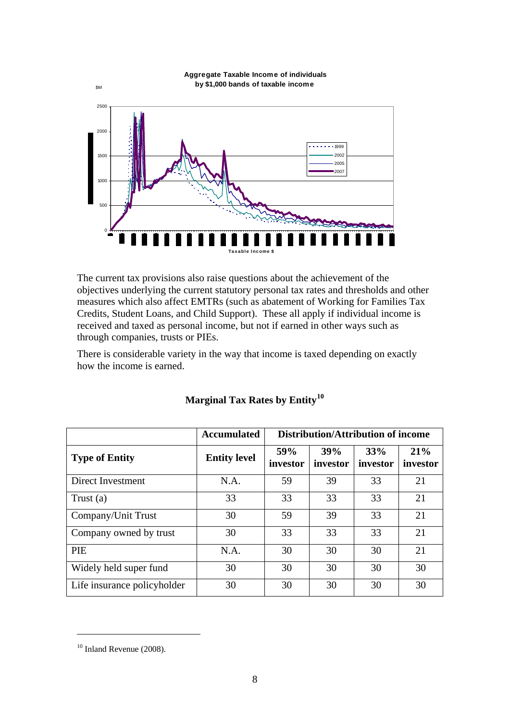

The current tax provisions also raise questions about the achievement of the objectives underlying the current statutory personal tax rates and thresholds and other measures which also affect EMTRs (such as abatement of Working for Families Tax Credits, Student Loans, and Child Support). These all apply if individual income is received and taxed as personal income, but not if earned in other ways such as through companies, trusts or PIEs.

There is considerable variety in the way that income is taxed depending on exactly how the income is earned.

|                             | <b>Accumulated</b>  | Distribution/Attribution of income |                 |                 |                 |
|-----------------------------|---------------------|------------------------------------|-----------------|-----------------|-----------------|
| <b>Type of Entity</b>       | <b>Entity level</b> | 59%<br>investor                    | 39%<br>investor | 33%<br>investor | 21%<br>investor |
| Direct Investment           | N.A.                | 59                                 | 39              | 33              | 21              |
| Trust $(a)$                 | 33                  | 33                                 | 33              | 33              | 21              |
| Company/Unit Trust          | 30                  | 59                                 | 39              | 33              | 21              |
| Company owned by trust      | 30                  | 33                                 | 33              | 33              | 21              |
| PIE                         | N.A.                | 30                                 | 30              | 30              | 21              |
| Widely held super fund      | 30                  | 30                                 | 30              | 30              | 30              |
| Life insurance policyholder | 30                  | 30                                 | 30              | 30              | 30              |

# **Marginal Tax Rates by Entity10**

 $10$  Inland Revenue (2008).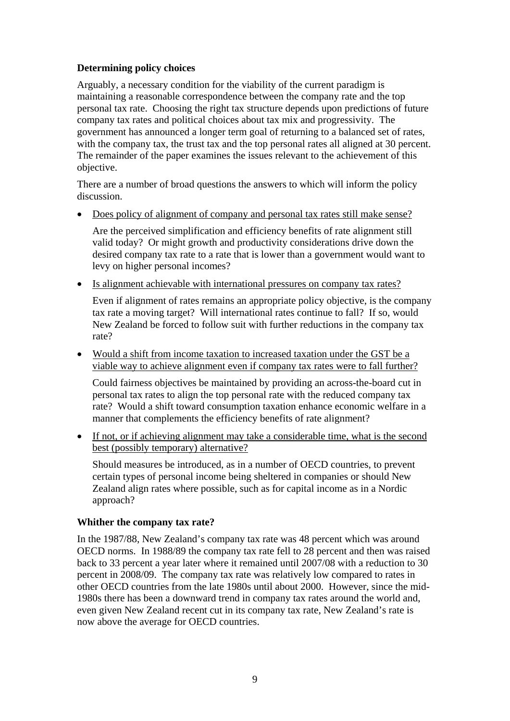## **Determining policy choices**

Arguably, a necessary condition for the viability of the current paradigm is maintaining a reasonable correspondence between the company rate and the top personal tax rate. Choosing the right tax structure depends upon predictions of future company tax rates and political choices about tax mix and progressivity. The government has announced a longer term goal of returning to a balanced set of rates, with the company tax, the trust tax and the top personal rates all aligned at 30 percent. The remainder of the paper examines the issues relevant to the achievement of this objective.

There are a number of broad questions the answers to which will inform the policy discussion.

• Does policy of alignment of company and personal tax rates still make sense?

Are the perceived simplification and efficiency benefits of rate alignment still valid today? Or might growth and productivity considerations drive down the desired company tax rate to a rate that is lower than a government would want to levy on higher personal incomes?

• Is alignment achievable with international pressures on company tax rates?

Even if alignment of rates remains an appropriate policy objective, is the company tax rate a moving target? Will international rates continue to fall? If so, would New Zealand be forced to follow suit with further reductions in the company tax rate?

• Would a shift from income taxation to increased taxation under the GST be a viable way to achieve alignment even if company tax rates were to fall further?

Could fairness objectives be maintained by providing an across-the-board cut in personal tax rates to align the top personal rate with the reduced company tax rate? Would a shift toward consumption taxation enhance economic welfare in a manner that complements the efficiency benefits of rate alignment?

• If not, or if achieving alignment may take a considerable time, what is the second best (possibly temporary) alternative?

Should measures be introduced, as in a number of OECD countries, to prevent certain types of personal income being sheltered in companies or should New Zealand align rates where possible, such as for capital income as in a Nordic approach?

## **Whither the company tax rate?**

In the 1987/88, New Zealand's company tax rate was 48 percent which was around OECD norms. In 1988/89 the company tax rate fell to 28 percent and then was raised back to 33 percent a year later where it remained until 2007/08 with a reduction to 30 percent in 2008/09. The company tax rate was relatively low compared to rates in other OECD countries from the late 1980s until about 2000. However, since the mid-1980s there has been a downward trend in company tax rates around the world and, even given New Zealand recent cut in its company tax rate, New Zealand's rate is now above the average for OECD countries.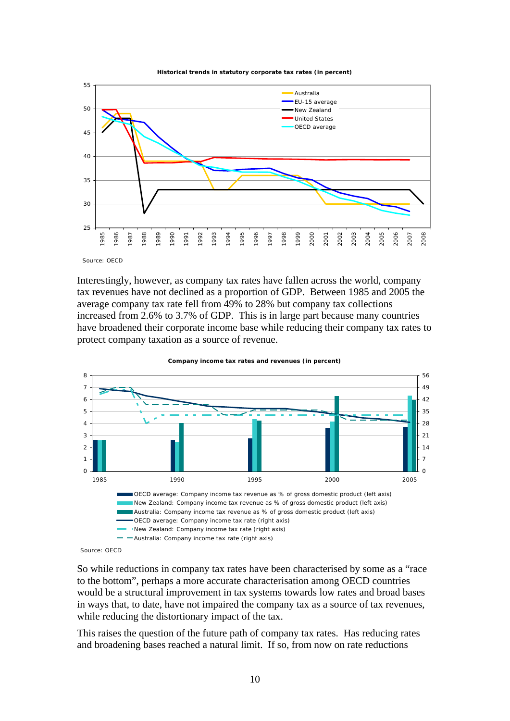



Source: OECD

Interestingly, however, as company tax rates have fallen across the world, company tax revenues have not declined as a proportion of GDP. Between 1985 and 2005 the average company tax rate fell from 49% to 28% but company tax collections increased from 2.6% to 3.7% of GDP. This is in large part because many countries have broadened their corporate income base while reducing their company tax rates to protect company taxation as a source of revenue.

**Company income tax rates and revenues (in percent)**  $\Omega$  1990 1995 2000 2005  $2<sup>1</sup>$  OECD average: Company income tax revenue as % of gross domestic product (left axis) New Zealand: Company income tax revenue as % of gross domestic product (left axis) Australia: Company income tax revenue as % of gross domestic product (left axis) OECD average: Company income tax rate (right axis) New Zealand: Company income tax rate (right axis) - - Australia: Company income tax rate (right axis)

So while reductions in company tax rates have been characterised by some as a "race to the bottom", perhaps a more accurate characterisation among OECD countries would be a structural improvement in tax systems towards low rates and broad bases in ways that, to date, have not impaired the company tax as a source of tax revenues, while reducing the distortionary impact of the tax.

This raises the question of the future path of company tax rates. Has reducing rates and broadening bases reached a natural limit. If so, from now on rate reductions

Source: OECD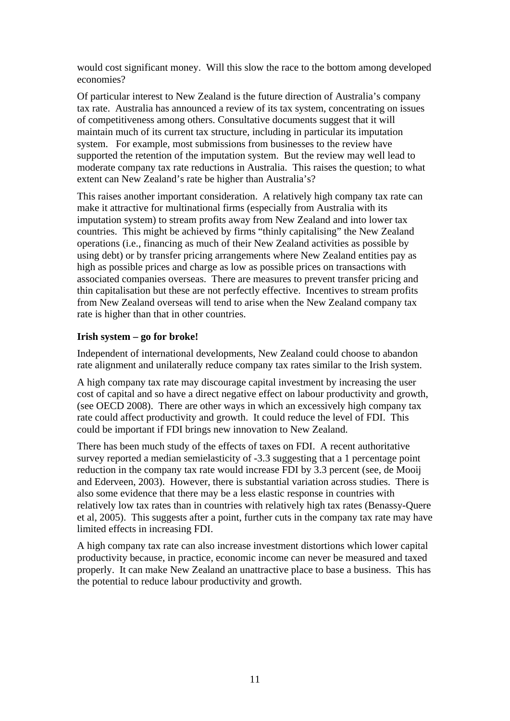would cost significant money. Will this slow the race to the bottom among developed economies?

Of particular interest to New Zealand is the future direction of Australia's company tax rate. Australia has announced a review of its tax system, concentrating on issues of competitiveness among others. Consultative documents suggest that it will maintain much of its current tax structure, including in particular its imputation system. For example, most submissions from businesses to the review have supported the retention of the imputation system. But the review may well lead to moderate company tax rate reductions in Australia. This raises the question; to what extent can New Zealand's rate be higher than Australia's?

This raises another important consideration. A relatively high company tax rate can make it attractive for multinational firms (especially from Australia with its imputation system) to stream profits away from New Zealand and into lower tax countries. This might be achieved by firms "thinly capitalising" the New Zealand operations (i.e., financing as much of their New Zealand activities as possible by using debt) or by transfer pricing arrangements where New Zealand entities pay as high as possible prices and charge as low as possible prices on transactions with associated companies overseas. There are measures to prevent transfer pricing and thin capitalisation but these are not perfectly effective. Incentives to stream profits from New Zealand overseas will tend to arise when the New Zealand company tax rate is higher than that in other countries.

## **Irish system – go for broke!**

Independent of international developments, New Zealand could choose to abandon rate alignment and unilaterally reduce company tax rates similar to the Irish system.

A high company tax rate may discourage capital investment by increasing the user cost of capital and so have a direct negative effect on labour productivity and growth, (see OECD 2008). There are other ways in which an excessively high company tax rate could affect productivity and growth. It could reduce the level of FDI. This could be important if FDI brings new innovation to New Zealand.

There has been much study of the effects of taxes on FDI. A recent authoritative survey reported a median semielasticity of -3.3 suggesting that a 1 percentage point reduction in the company tax rate would increase FDI by 3.3 percent (see, de Mooij and Ederveen, 2003). However, there is substantial variation across studies. There is also some evidence that there may be a less elastic response in countries with relatively low tax rates than in countries with relatively high tax rates (Benassy-Quere et al, 2005). This suggests after a point, further cuts in the company tax rate may have limited effects in increasing FDI.

A high company tax rate can also increase investment distortions which lower capital productivity because, in practice, economic income can never be measured and taxed properly. It can make New Zealand an unattractive place to base a business. This has the potential to reduce labour productivity and growth.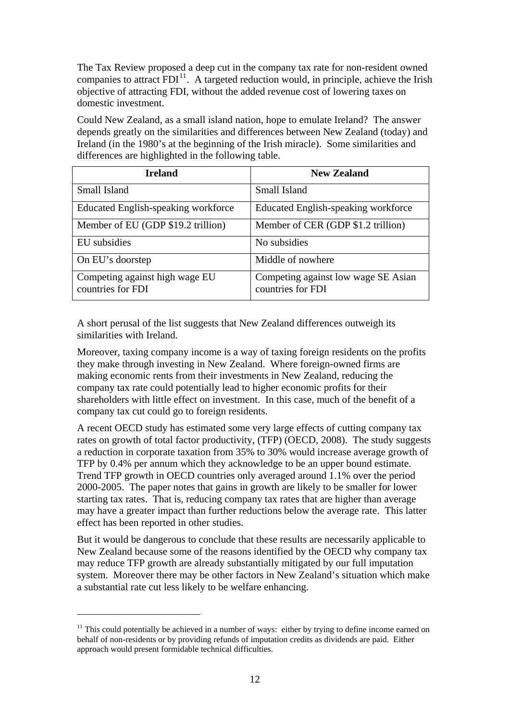The Tax Review proposed a deep cut in the company tax rate for non-resident owned companies to attract  $FDI<sup>11</sup>$  $FDI<sup>11</sup>$  $FDI<sup>11</sup>$ . A targeted reduction would, in principle, achieve the Irish objective of attracting FDI, without the added revenue cost of lowering taxes on domestic investment.

Could New Zealand, as a small island nation, hope to emulate Ireland? The answer depends greatly on the similarities and differences between New Zealand (today) and Ireland (in the 1980's at the beginning of the Irish miracle). Some similarities and differences are highlighted in the following table.

| <b>Ireland</b>                                      | <b>New Zealand</b>                                       |  |  |
|-----------------------------------------------------|----------------------------------------------------------|--|--|
| Small Island                                        | Small Island                                             |  |  |
| Educated English-speaking workforce                 | Educated English-speaking workforce                      |  |  |
| Member of EU (GDP \$19.2 trillion)                  | Member of CER (GDP \$1.2 trillion)                       |  |  |
| EU subsidies                                        | No subsidies                                             |  |  |
| On EU's doorstep                                    | Middle of nowhere                                        |  |  |
| Competing against high wage EU<br>countries for FDI | Competing against low wage SE Asian<br>countries for FDI |  |  |

A short perusal of the list suggests that New Zealand differences outweigh its similarities with Ireland.

Moreover, taxing company income is a way of taxing foreign residents on the profits they make through investing in New Zealand. Where foreign-owned firms are making economic rents from their investments in New Zealand, reducing the company tax rate could potentially lead to higher economic profits for their shareholders with little effect on investment. In this case, much of the benefit of a company tax cut could go to foreign residents.

A recent OECD study has estimated some very large effects of cutting company tax rates on growth of total factor productivity, (TFP) (OECD, 2008). The study suggests a reduction in corporate taxation from 35% to 30% would increase average growth of TFP by 0.4% per annum which they acknowledge to be an upper bound estimate. Trend TFP growth in OECD countries only averaged around 1.1% over the period 2000-2005. The paper notes that gains in growth are likely to be smaller for lower starting tax rates. That is, reducing company tax rates that are higher than average may have a greater impact than further reductions below the average rate. This latter effect has been reported in other studies.

But it would be dangerous to conclude that these results are necessarily applicable to New Zealand because some of the reasons identified by the OECD why company tax may reduce TFP growth are already substantially mitigated by our full imputation system. Moreover there may be other factors in New Zealand's situation which make a substantial rate cut less likely to be welfare enhancing.

<span id="page-11-0"></span> $11$  This could potentially be achieved in a number of ways: either by trying to define income earned on behalf of non-residents or by providing refunds of imputation credits as dividends are paid. Either approach would present formidable technical difficulties.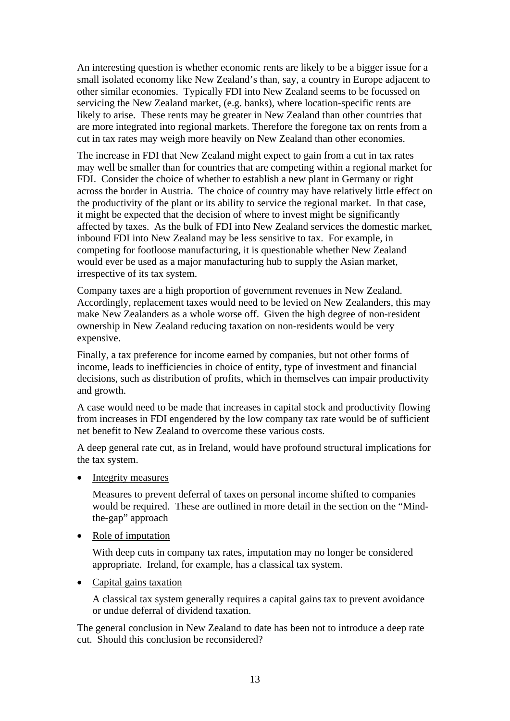An interesting question is whether economic rents are likely to be a bigger issue for a small isolated economy like New Zealand's than, say, a country in Europe adjacent to other similar economies. Typically FDI into New Zealand seems to be focussed on servicing the New Zealand market, (e.g. banks), where location-specific rents are likely to arise. These rents may be greater in New Zealand than other countries that are more integrated into regional markets. Therefore the foregone tax on rents from a cut in tax rates may weigh more heavily on New Zealand than other economies.

The increase in FDI that New Zealand might expect to gain from a cut in tax rates may well be smaller than for countries that are competing within a regional market for FDI. Consider the choice of whether to establish a new plant in Germany or right across the border in Austria. The choice of country may have relatively little effect on the productivity of the plant or its ability to service the regional market. In that case, it might be expected that the decision of where to invest might be significantly affected by taxes. As the bulk of FDI into New Zealand services the domestic market, inbound FDI into New Zealand may be less sensitive to tax. For example, in competing for footloose manufacturing, it is questionable whether New Zealand would ever be used as a major manufacturing hub to supply the Asian market, irrespective of its tax system.

Company taxes are a high proportion of government revenues in New Zealand. Accordingly, replacement taxes would need to be levied on New Zealanders, this may make New Zealanders as a whole worse off. Given the high degree of non-resident ownership in New Zealand reducing taxation on non-residents would be very expensive.

Finally, a tax preference for income earned by companies, but not other forms of income, leads to inefficiencies in choice of entity, type of investment and financial decisions, such as distribution of profits, which in themselves can impair productivity and growth.

A case would need to be made that increases in capital stock and productivity flowing from increases in FDI engendered by the low company tax rate would be of sufficient net benefit to New Zealand to overcome these various costs.

A deep general rate cut, as in Ireland, would have profound structural implications for the tax system.

• Integrity measures

Measures to prevent deferral of taxes on personal income shifted to companies would be required. These are outlined in more detail in the section on the "Mindthe-gap" approach

• Role of imputation

With deep cuts in company tax rates, imputation may no longer be considered appropriate. Ireland, for example, has a classical tax system.

• Capital gains taxation

A classical tax system generally requires a capital gains tax to prevent avoidance or undue deferral of dividend taxation.

The general conclusion in New Zealand to date has been not to introduce a deep rate cut. Should this conclusion be reconsidered?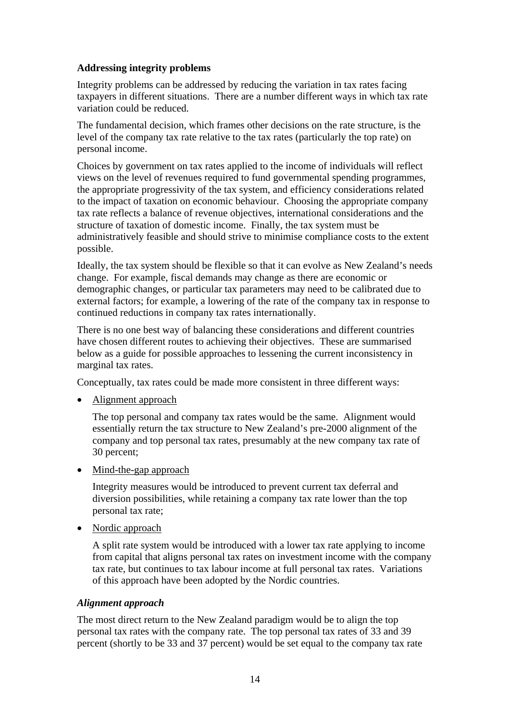### **Addressing integrity problems**

Integrity problems can be addressed by reducing the variation in tax rates facing taxpayers in different situations. There are a number different ways in which tax rate variation could be reduced.

The fundamental decision, which frames other decisions on the rate structure, is the level of the company tax rate relative to the tax rates (particularly the top rate) on personal income.

Choices by government on tax rates applied to the income of individuals will reflect views on the level of revenues required to fund governmental spending programmes, the appropriate progressivity of the tax system, and efficiency considerations related to the impact of taxation on economic behaviour. Choosing the appropriate company tax rate reflects a balance of revenue objectives, international considerations and the structure of taxation of domestic income. Finally, the tax system must be administratively feasible and should strive to minimise compliance costs to the extent possible.

Ideally, the tax system should be flexible so that it can evolve as New Zealand's needs change. For example, fiscal demands may change as there are economic or demographic changes, or particular tax parameters may need to be calibrated due to external factors; for example, a lowering of the rate of the company tax in response to continued reductions in company tax rates internationally.

There is no one best way of balancing these considerations and different countries have chosen different routes to achieving their objectives. These are summarised below as a guide for possible approaches to lessening the current inconsistency in marginal tax rates.

Conceptually, tax rates could be made more consistent in three different ways:

• Alignment approach

The top personal and company tax rates would be the same. Alignment would essentially return the tax structure to New Zealand's pre-2000 alignment of the company and top personal tax rates, presumably at the new company tax rate of 30 percent;

• Mind-the-gap approach

Integrity measures would be introduced to prevent current tax deferral and diversion possibilities, while retaining a company tax rate lower than the top personal tax rate;

• Nordic approach

A split rate system would be introduced with a lower tax rate applying to income from capital that aligns personal tax rates on investment income with the company tax rate, but continues to tax labour income at full personal tax rates. Variations of this approach have been adopted by the Nordic countries.

#### *Alignment approach*

The most direct return to the New Zealand paradigm would be to align the top personal tax rates with the company rate. The top personal tax rates of 33 and 39 percent (shortly to be 33 and 37 percent) would be set equal to the company tax rate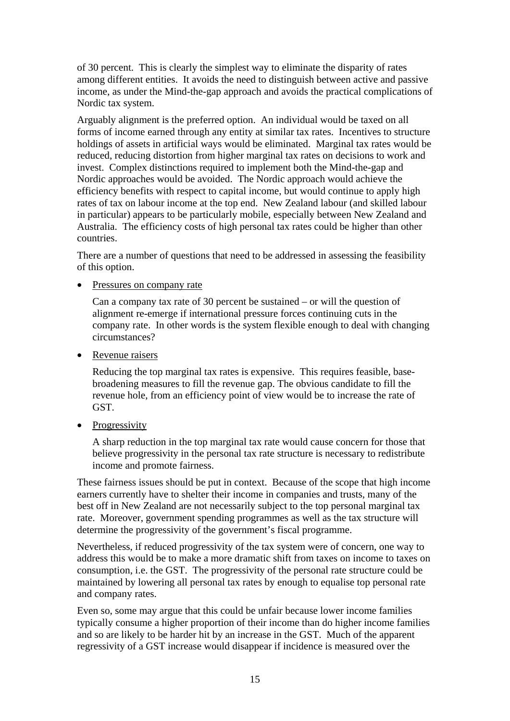of 30 percent. This is clearly the simplest way to eliminate the disparity of rates among different entities. It avoids the need to distinguish between active and passive income, as under the Mind-the-gap approach and avoids the practical complications of Nordic tax system.

Arguably alignment is the preferred option. An individual would be taxed on all forms of income earned through any entity at similar tax rates. Incentives to structure holdings of assets in artificial ways would be eliminated. Marginal tax rates would be reduced, reducing distortion from higher marginal tax rates on decisions to work and invest. Complex distinctions required to implement both the Mind-the-gap and Nordic approaches would be avoided. The Nordic approach would achieve the efficiency benefits with respect to capital income, but would continue to apply high rates of tax on labour income at the top end. New Zealand labour (and skilled labour in particular) appears to be particularly mobile, especially between New Zealand and Australia. The efficiency costs of high personal tax rates could be higher than other countries.

There are a number of questions that need to be addressed in assessing the feasibility of this option.

• Pressures on company rate

Can a company tax rate of 30 percent be sustained – or will the question of alignment re-emerge if international pressure forces continuing cuts in the company rate. In other words is the system flexible enough to deal with changing circumstances?

• Revenue raisers

Reducing the top marginal tax rates is expensive. This requires feasible, basebroadening measures to fill the revenue gap. The obvious candidate to fill the revenue hole, from an efficiency point of view would be to increase the rate of GST.

• Progressivity

A sharp reduction in the top marginal tax rate would cause concern for those that believe progressivity in the personal tax rate structure is necessary to redistribute income and promote fairness.

These fairness issues should be put in context. Because of the scope that high income earners currently have to shelter their income in companies and trusts, many of the best off in New Zealand are not necessarily subject to the top personal marginal tax rate. Moreover, government spending programmes as well as the tax structure will determine the progressivity of the government's fiscal programme.

Nevertheless, if reduced progressivity of the tax system were of concern, one way to address this would be to make a more dramatic shift from taxes on income to taxes on consumption, i.e. the GST. The progressivity of the personal rate structure could be maintained by lowering all personal tax rates by enough to equalise top personal rate and company rates.

Even so, some may argue that this could be unfair because lower income families typically consume a higher proportion of their income than do higher income families and so are likely to be harder hit by an increase in the GST. Much of the apparent regressivity of a GST increase would disappear if incidence is measured over the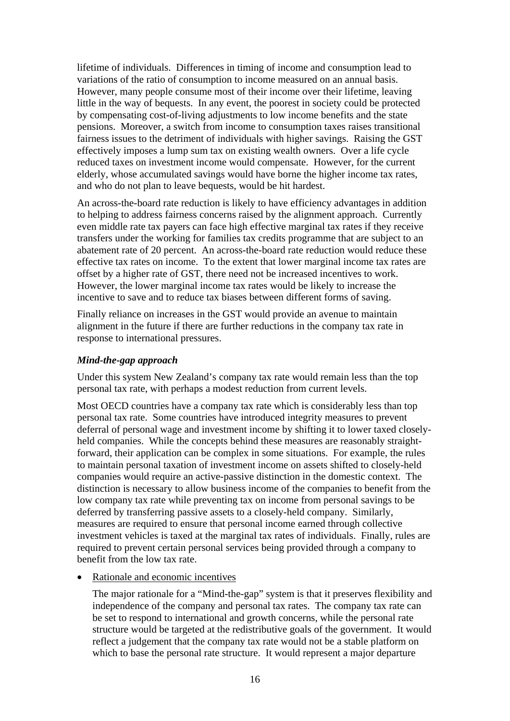lifetime of individuals. Differences in timing of income and consumption lead to variations of the ratio of consumption to income measured on an annual basis. However, many people consume most of their income over their lifetime, leaving little in the way of bequests. In any event, the poorest in society could be protected by compensating cost-of-living adjustments to low income benefits and the state pensions. Moreover, a switch from income to consumption taxes raises transitional fairness issues to the detriment of individuals with higher savings. Raising the GST effectively imposes a lump sum tax on existing wealth owners. Over a life cycle reduced taxes on investment income would compensate. However, for the current elderly, whose accumulated savings would have borne the higher income tax rates, and who do not plan to leave bequests, would be hit hardest.

An across-the-board rate reduction is likely to have efficiency advantages in addition to helping to address fairness concerns raised by the alignment approach. Currently even middle rate tax payers can face high effective marginal tax rates if they receive transfers under the working for families tax credits programme that are subject to an abatement rate of 20 percent. An across-the-board rate reduction would reduce these effective tax rates on income. To the extent that lower marginal income tax rates are offset by a higher rate of GST, there need not be increased incentives to work. However, the lower marginal income tax rates would be likely to increase the incentive to save and to reduce tax biases between different forms of saving.

Finally reliance on increases in the GST would provide an avenue to maintain alignment in the future if there are further reductions in the company tax rate in response to international pressures.

## *Mind-the-gap approach*

Under this system New Zealand's company tax rate would remain less than the top personal tax rate, with perhaps a modest reduction from current levels.

Most OECD countries have a company tax rate which is considerably less than top personal tax rate. Some countries have introduced integrity measures to prevent deferral of personal wage and investment income by shifting it to lower taxed closelyheld companies. While the concepts behind these measures are reasonably straightforward, their application can be complex in some situations. For example, the rules to maintain personal taxation of investment income on assets shifted to closely-held companies would require an active-passive distinction in the domestic context. The distinction is necessary to allow business income of the companies to benefit from the low company tax rate while preventing tax on income from personal savings to be deferred by transferring passive assets to a closely-held company. Similarly, measures are required to ensure that personal income earned through collective investment vehicles is taxed at the marginal tax rates of individuals. Finally, rules are required to prevent certain personal services being provided through a company to benefit from the low tax rate.

Rationale and economic incentives

The major rationale for a "Mind-the-gap" system is that it preserves flexibility and independence of the company and personal tax rates. The company tax rate can be set to respond to international and growth concerns, while the personal rate structure would be targeted at the redistributive goals of the government. It would reflect a judgement that the company tax rate would not be a stable platform on which to base the personal rate structure. It would represent a major departure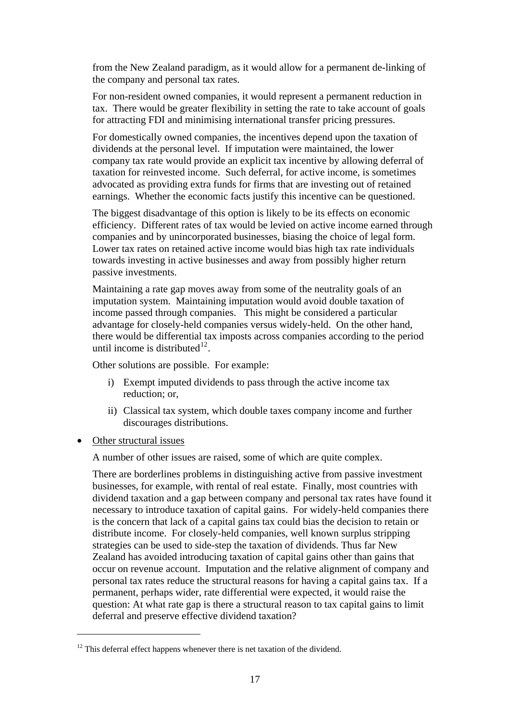from the New Zealand paradigm, as it would allow for a permanent de-linking of the company and personal tax rates.

For non-resident owned companies, it would represent a permanent reduction in tax. There would be greater flexibility in setting the rate to take account of goals for attracting FDI and minimising international transfer pricing pressures.

For domestically owned companies, the incentives depend upon the taxation of dividends at the personal level. If imputation were maintained, the lower company tax rate would provide an explicit tax incentive by allowing deferral of taxation for reinvested income. Such deferral, for active income, is sometimes advocated as providing extra funds for firms that are investing out of retained earnings. Whether the economic facts justify this incentive can be questioned.

The biggest disadvantage of this option is likely to be its effects on economic efficiency. Different rates of tax would be levied on active income earned through companies and by unincorporated businesses, biasing the choice of legal form. Lower tax rates on retained active income would bias high tax rate individuals towards investing in active businesses and away from possibly higher return passive investments.

Maintaining a rate gap moves away from some of the neutrality goals of an imputation system. Maintaining imputation would avoid double taxation of income passed through companies. This might be considered a particular advantage for closely-held companies versus widely-held. On the other hand, there would be differential tax imposts across companies according to the period until income is distributed $12$ .

Other solutions are possible. For example:

- i) Exempt imputed dividends to pass through the active income tax reduction; or,
- ii) Classical tax system, which double taxes company income and further discourages distributions.
- Other structural issues

1

A number of other issues are raised, some of which are quite complex.

There are borderlines problems in distinguishing active from passive investment businesses, for example, with rental of real estate. Finally, most countries with dividend taxation and a gap between company and personal tax rates have found it necessary to introduce taxation of capital gains. For widely-held companies there is the concern that lack of a capital gains tax could bias the decision to retain or distribute income. For closely-held companies, well known surplus stripping strategies can be used to side-step the taxation of dividends. Thus far New Zealand has avoided introducing taxation of capital gains other than gains that occur on revenue account. Imputation and the relative alignment of company and personal tax rates reduce the structural reasons for having a capital gains tax. If a permanent, perhaps wider, rate differential were expected, it would raise the question: At what rate gap is there a structural reason to tax capital gains to limit deferral and preserve effective dividend taxation?

<span id="page-16-0"></span> $12$  This deferral effect happens whenever there is net taxation of the dividend.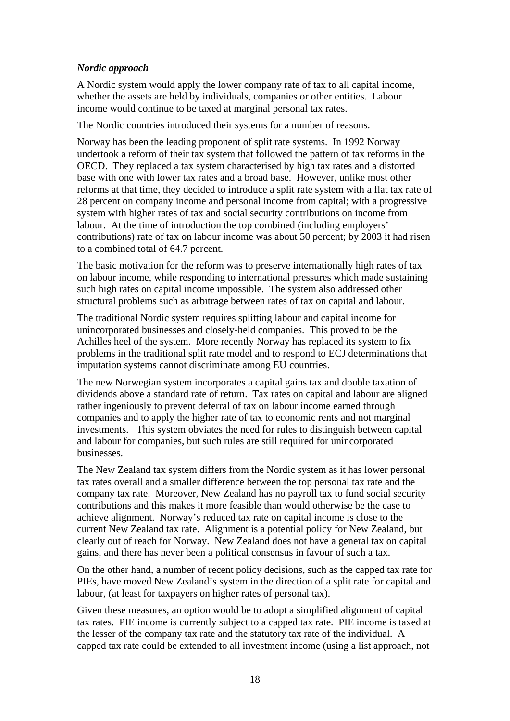## *Nordic approach*

A Nordic system would apply the lower company rate of tax to all capital income, whether the assets are held by individuals, companies or other entities. Labour income would continue to be taxed at marginal personal tax rates.

The Nordic countries introduced their systems for a number of reasons.

Norway has been the leading proponent of split rate systems. In 1992 Norway undertook a reform of their tax system that followed the pattern of tax reforms in the OECD. They replaced a tax system characterised by high tax rates and a distorted base with one with lower tax rates and a broad base. However, unlike most other reforms at that time, they decided to introduce a split rate system with a flat tax rate of 28 percent on company income and personal income from capital; with a progressive system with higher rates of tax and social security contributions on income from labour. At the time of introduction the top combined (including employers' contributions) rate of tax on labour income was about 50 percent; by 2003 it had risen to a combined total of 64.7 percent.

The basic motivation for the reform was to preserve internationally high rates of tax on labour income, while responding to international pressures which made sustaining such high rates on capital income impossible. The system also addressed other structural problems such as arbitrage between rates of tax on capital and labour.

The traditional Nordic system requires splitting labour and capital income for unincorporated businesses and closely-held companies. This proved to be the Achilles heel of the system. More recently Norway has replaced its system to fix problems in the traditional split rate model and to respond to ECJ determinations that imputation systems cannot discriminate among EU countries.

The new Norwegian system incorporates a capital gains tax and double taxation of dividends above a standard rate of return. Tax rates on capital and labour are aligned rather ingeniously to prevent deferral of tax on labour income earned through companies and to apply the higher rate of tax to economic rents and not marginal investments. This system obviates the need for rules to distinguish between capital and labour for companies, but such rules are still required for unincorporated businesses.

The New Zealand tax system differs from the Nordic system as it has lower personal tax rates overall and a smaller difference between the top personal tax rate and the company tax rate. Moreover, New Zealand has no payroll tax to fund social security contributions and this makes it more feasible than would otherwise be the case to achieve alignment. Norway's reduced tax rate on capital income is close to the current New Zealand tax rate. Alignment is a potential policy for New Zealand, but clearly out of reach for Norway. New Zealand does not have a general tax on capital gains, and there has never been a political consensus in favour of such a tax.

On the other hand, a number of recent policy decisions, such as the capped tax rate for PIEs, have moved New Zealand's system in the direction of a split rate for capital and labour, (at least for taxpayers on higher rates of personal tax).

Given these measures, an option would be to adopt a simplified alignment of capital tax rates. PIE income is currently subject to a capped tax rate. PIE income is taxed at the lesser of the company tax rate and the statutory tax rate of the individual. A capped tax rate could be extended to all investment income (using a list approach, not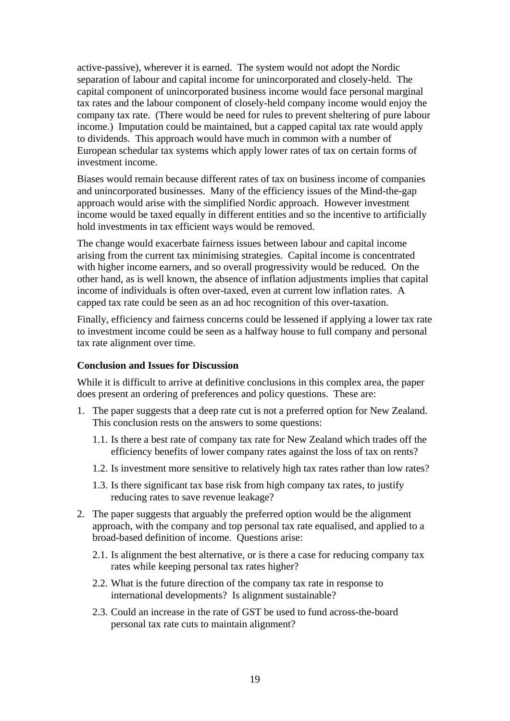active-passive), wherever it is earned. The system would not adopt the Nordic separation of labour and capital income for unincorporated and closely-held. The capital component of unincorporated business income would face personal marginal tax rates and the labour component of closely-held company income would enjoy the company tax rate. (There would be need for rules to prevent sheltering of pure labour income.) Imputation could be maintained, but a capped capital tax rate would apply to dividends. This approach would have much in common with a number of European schedular tax systems which apply lower rates of tax on certain forms of investment income.

Biases would remain because different rates of tax on business income of companies and unincorporated businesses. Many of the efficiency issues of the Mind-the-gap approach would arise with the simplified Nordic approach. However investment income would be taxed equally in different entities and so the incentive to artificially hold investments in tax efficient ways would be removed.

The change would exacerbate fairness issues between labour and capital income arising from the current tax minimising strategies. Capital income is concentrated with higher income earners, and so overall progressivity would be reduced. On the other hand, as is well known, the absence of inflation adjustments implies that capital income of individuals is often over-taxed, even at current low inflation rates. A capped tax rate could be seen as an ad hoc recognition of this over-taxation.

Finally, efficiency and fairness concerns could be lessened if applying a lower tax rate to investment income could be seen as a halfway house to full company and personal tax rate alignment over time.

#### **Conclusion and Issues for Discussion**

While it is difficult to arrive at definitive conclusions in this complex area, the paper does present an ordering of preferences and policy questions. These are:

- 1. The paper suggests that a deep rate cut is not a preferred option for New Zealand. This conclusion rests on the answers to some questions:
	- 1.1. Is there a best rate of company tax rate for New Zealand which trades off the efficiency benefits of lower company rates against the loss of tax on rents?
	- 1.2. Is investment more sensitive to relatively high tax rates rather than low rates?
	- 1.3. Is there significant tax base risk from high company tax rates, to justify reducing rates to save revenue leakage?
- 2. The paper suggests that arguably the preferred option would be the alignment approach, with the company and top personal tax rate equalised, and applied to a broad-based definition of income. Questions arise:
	- 2.1. Is alignment the best alternative, or is there a case for reducing company tax rates while keeping personal tax rates higher?
	- 2.2. What is the future direction of the company tax rate in response to international developments? Is alignment sustainable?
	- 2.3. Could an increase in the rate of GST be used to fund across-the-board personal tax rate cuts to maintain alignment?